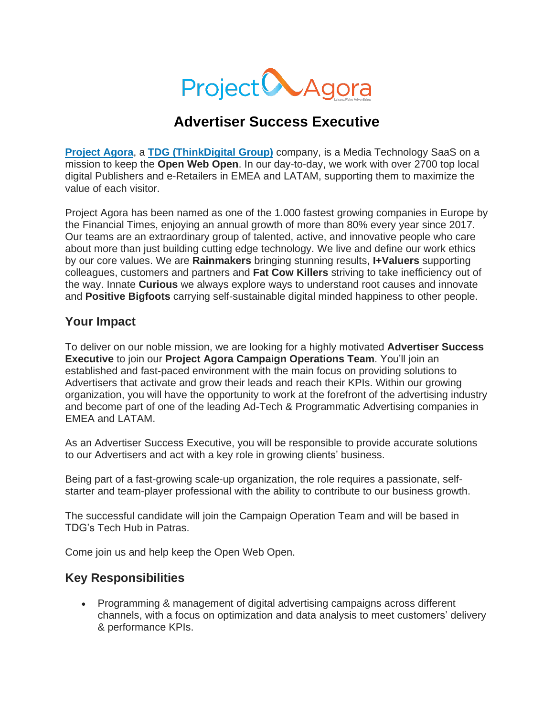

# **Advertiser Success Executive**

**[Project](http://www.projectagora.com/) Agora**, a **TDG [\(ThinkDigital](https://thinkdigitalgroup.net/) Group)** company, is a Media Technology SaaS on a mission to keep the **Open Web Open**. In our day-to-day, we work with over 2700 top local digital Publishers and e-Retailers in EMEA and LATAM, supporting them to maximize the value of each visitor.

Project Agora has been named as one of the 1.000 fastest growing companies in Europe by the Financial Times, enjoying an annual growth of more than 80% every year since 2017. Our teams are an extraordinary group of talented, active, and innovative people who care about more than just building cutting edge technology. We live and define our work ethics by our core values. We are **Rainmakers** bringing stunning results, **I+Valuers** supporting colleagues, customers and partners and **Fat Cow Killers** striving to take inefficiency out of the way. Innate **Curious** we always explore ways to understand root causes and innovate and **Positive Bigfoots** carrying self-sustainable digital minded happiness to other people.

#### **Your Impact**

To deliver on our noble mission, we are looking for a highly motivated **Advertiser Success Executive** to join our **Project Agora Campaign Operations Team**. You'll join an established and fast-paced environment with the main focus on providing solutions to Advertisers that activate and grow their leads and reach their KPIs. Within our growing organization, you will have the opportunity to work at the forefront of the advertising industry and become part of one of the leading Ad-Tech & Programmatic Advertising companies in EMEA and LATAM.

As an Advertiser Success Executive, you will be responsible to provide accurate solutions to our Advertisers and act with a key role in growing clients' business.

Being part of a fast-growing scale-up organization, the role requires a passionate, selfstarter and team-player professional with the ability to contribute to our business growth.

The successful candidate will join the Campaign Operation Team and will be based in TDG's Tech Hub in Patras.

Come join us and help keep the Open Web Open.

#### **Key Responsibilities**

• Programming & management of digital advertising campaigns across different channels, with a focus on optimization and data analysis to meet customers' delivery & performance KPIs.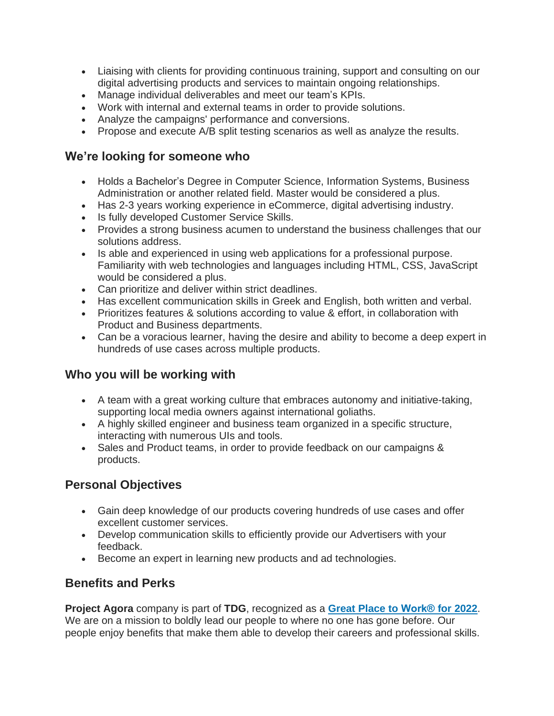- Liaising with clients for providing continuous training, support and consulting on our digital advertising products and services to maintain ongoing relationships.
- Manage individual deliverables and meet our team's KPIs.
- Work with internal and external teams in order to provide solutions.
- Analyze the campaigns' performance and conversions.
- Propose and execute A/B split testing scenarios as well as analyze the results.

#### **We're looking for someone who**

- Holds a Bachelor's Degree in Computer Science, Information Systems, Business Administration or another related field. Master would be considered a plus.
- Has 2-3 years working experience in eCommerce, digital advertising industry.
- Is fully developed Customer Service Skills.
- Provides a strong business acumen to understand the business challenges that our solutions address.
- Is able and experienced in using web applications for a professional purpose. Familiarity with web technologies and languages including HTML, CSS, JavaScript would be considered a plus.
- Can prioritize and deliver within strict deadlines.
- Has excellent communication skills in Greek and English, both written and verbal.
- Prioritizes features & solutions according to value & effort, in collaboration with Product and Business departments.
- Can be a voracious learner, having the desire and ability to become a deep expert in hundreds of use cases across multiple products.

## **Who you will be working with**

- A team with a great working culture that embraces autonomy and initiative-taking, supporting local media owners against international goliaths.
- A highly skilled engineer and business team organized in a specific structure, interacting with numerous UIs and tools.
- Sales and Product teams, in order to provide feedback on our campaigns & products.

## **Personal Objectives**

- Gain deep knowledge of our products covering hundreds of use cases and offer excellent customer services.
- Develop communication skills to efficiently provide our Advertisers with your feedback.
- Become an expert in learning new products and ad technologies.

## **Benefits and Perks**

**Project Agora** company is part of **TDG**, recognized as a **Great Place to [Work®](https://www.greatplacetowork.gr/certified-companies/thinkdigital-group/) for 2022**. We are on a mission to boldly lead our people to where no one has gone before. Our people enjoy benefits that make them able to develop their careers and professional skills.